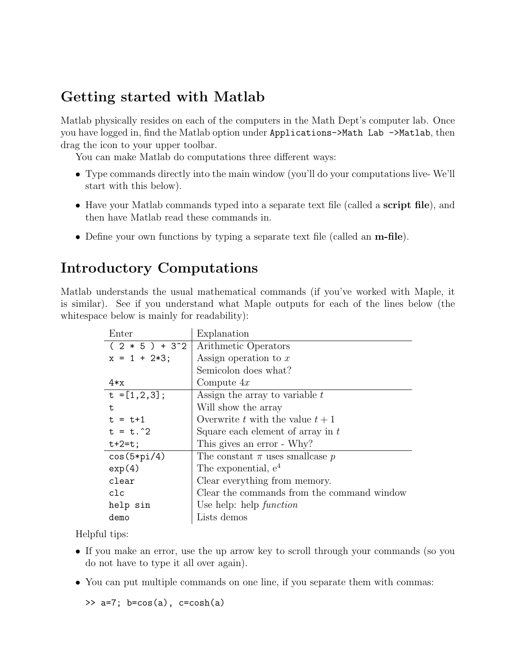# Getting started with Matlab

Matlab physically resides on each of the computers in the Math Dept's computer lab. Once you have logged in, find the Matlab option under Applications->Math Lab ->Matlab, then drag the icon to your upper toolbar.

You can make Matlab do computations three different ways:

- Type commands directly into the main window (you'll do your computations live- We'll start with this below).
- Have your Matlab commands typed into a separate text file (called a script file), and then have Matlab read these commands in.
- Define your own functions by typing a separate text file (called an **m-file**).

# Introductory Computations

Matlab understands the usual mathematical commands (if you've worked with Maple, it is similar). See if you understand what Maple outputs for each of the lines below (the white space below is mainly for readability):

| Enter            | Explanation                                |
|------------------|--------------------------------------------|
| $(2 * 5) + 3^2$  | Arithmetic Operators                       |
| $x = 1 + 2*3;$   | Assign operation to $x$                    |
|                  | Semicolon does what?                       |
| $4*x$            | Compute $4x$                               |
| $t = [1, 2, 3];$ | Assign the array to variable $t$           |
| t.               | Will show the array                        |
| $t = t + 1$      | Overwrite t with the value $t+1$           |
| $t = t.^2$       | Square each element of array in $t$        |
| $t+2=t;$         | This gives an error - Why?                 |
| $cos(5*pi/4)$    | The constant $\pi$ uses smallcase p        |
| exp(4)           | The exponential, $e^4$                     |
| clear            | Clear everything from memory.              |
| clc              | Clear the commands from the command window |
| help sin         | Use help: help $function$                  |
| demo             | Lists demos                                |

Helpful tips:

- If you make an error, use the up arrow key to scroll through your commands (so you do not have to type it all over again).
- You can put multiple commands on one line, if you separate them with commas:

 $\Rightarrow$  a=7; b=cos(a), c=cosh(a)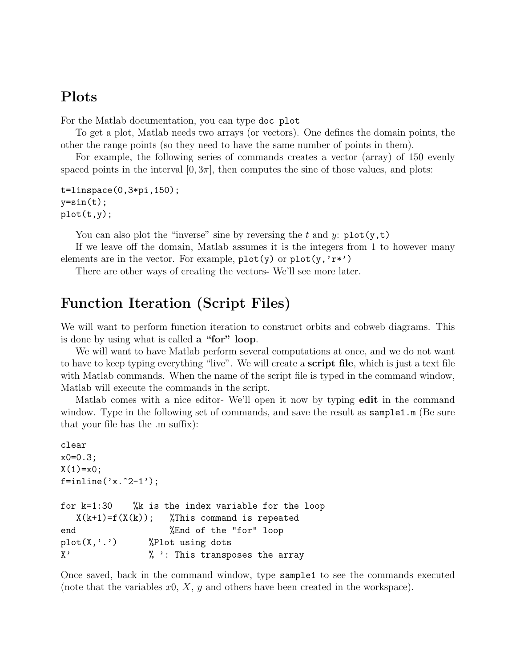#### Plots

For the Matlab documentation, you can type doc plot

To get a plot, Matlab needs two arrays (or vectors). One defines the domain points, the other the range points (so they need to have the same number of points in them).

For example, the following series of commands creates a vector (array) of 150 evenly spaced points in the interval  $[0, 3\pi]$ , then computes the sine of those values, and plots:

```
t=linspace(0,3*pi,150);
y=sin(t);plot(t,y);
```
You can also plot the "inverse" sine by reversing the t and y:  $plot(y, t)$ 

If we leave off the domain, Matlab assumes it is the integers from 1 to however many elements are in the vector. For example,  $plot(y)$  or  $plot(y, 'r*)$ 

There are other ways of creating the vectors- We'll see more later.

#### Function Iteration (Script Files)

We will want to perform function iteration to construct orbits and cobweb diagrams. This is done by using what is called a "for" loop.

We will want to have Matlab perform several computations at once, and we do not want to have to keep typing everything "live". We will create a script file, which is just a text file with Matlab commands. When the name of the script file is typed in the command window, Matlab will execute the commands in the script.

Matlab comes with a nice editor-We'll open it now by typing **edit** in the command window. Type in the following set of commands, and save the result as sample1.m (Be sure that your file has the .m suffix):

```
clear
x0=0.3;
X(1)=x0;f=inline('x.^2-1');
for k=1:30 %k is the index variable for the loop
  X(k+1)=f(X(k)); %This command is repeated
end %End of the "for" loop
plot(X,'.') %Plot using dots
X' \frac{1}{2} % ': This transposes the array
```
Once saved, back in the command window, type sample1 to see the commands executed (note that the variables  $x0, X, y$  and others have been created in the workspace).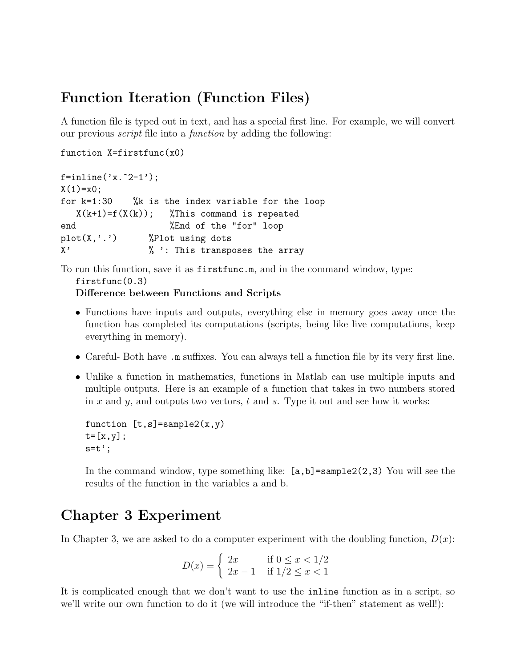## Function Iteration (Function Files)

A function file is typed out in text, and has a special first line. For example, we will convert our previous script file into a function by adding the following:

```
function X=firstfunc(x0)
```

```
f=inline('x.^2-1');
X(1)=x0;for k=1:30 %k is the index variable for the loop
  X(k+1)=f(X(k)); %This command is repeated
end %End of the "for" loop
plot(X,'.') %Plot using dots
X' \frac{1}{2} % ': This transposes the array
```
To run this function, save it as firstfunc.m, and in the command window, type: firstfunc(0.3)

Difference between Functions and Scripts

- Functions have inputs and outputs, everything else in memory goes away once the function has completed its computations (scripts, being like live computations, keep everything in memory).
- Careful- Both have .m suffixes. You can always tell a function file by its very first line.
- Unlike a function in mathematics, functions in Matlab can use multiple inputs and multiple outputs. Here is an example of a function that takes in two numbers stored in x and y, and outputs two vectors, t and s. Type it out and see how it works:

```
function [t,s] = sample2(x,y)t=[x,y];s=t<sup>'</sup>;
```
In the command window, type something like:  $[a, b]$ =sample2(2,3) You will see the results of the function in the variables a and b.

## Chapter 3 Experiment

In Chapter 3, we are asked to do a computer experiment with the doubling function,  $D(x)$ :

$$
D(x) = \begin{cases} 2x & \text{if } 0 \le x < 1/2 \\ 2x - 1 & \text{if } 1/2 \le x < 1 \end{cases}
$$

It is complicated enough that we don't want to use the inline function as in a script, so we'll write our own function to do it (we will introduce the "if-then" statement as well!):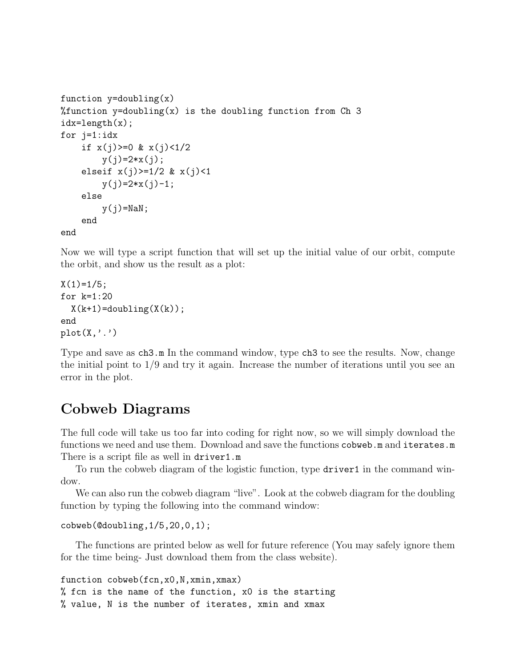```
function y=doubling(x)%function y=doubling(x) is the doubling function from Ch 3
idx=length(x);
for j=1:idx
    if x(j) >= 0 \& x(j) < 1/2y(j)=2*x(j);elseif x(j)=1/2 & x(j)<1
        y(j)=2*x(j)-1;else
        y(j)=NaN;end
end
```
Now we will type a script function that will set up the initial value of our orbit, compute the orbit, and show us the result as a plot:

```
X(1)=1/5;for k=1:20
  X(k+1) =doubling(X(k));
end
plot(X, '.'')
```
Type and save as  $\text{ch}3 \cdot \text{m}$  In the command window, type  $\text{ch}3$  to see the results. Now, change the initial point to 1/9 and try it again. Increase the number of iterations until you see an error in the plot.

## Cobweb Diagrams

The full code will take us too far into coding for right now, so we will simply download the functions we need and use them. Download and save the functions cobweb.m and iterates.m There is a script file as well in driver1.m

To run the cobweb diagram of the logistic function, type driver1 in the command window.

We can also run the cobweb diagram "live". Look at the cobweb diagram for the doubling function by typing the following into the command window:

```
cobweb(@doubling,1/5,20,0,1);
```
The functions are printed below as well for future reference (You may safely ignore them for the time being- Just download them from the class website).

```
function cobweb(fcn,x0,N,xmin,xmax)
% fcn is the name of the function, x0 is the starting
% value, N is the number of iterates, xmin and xmax
```